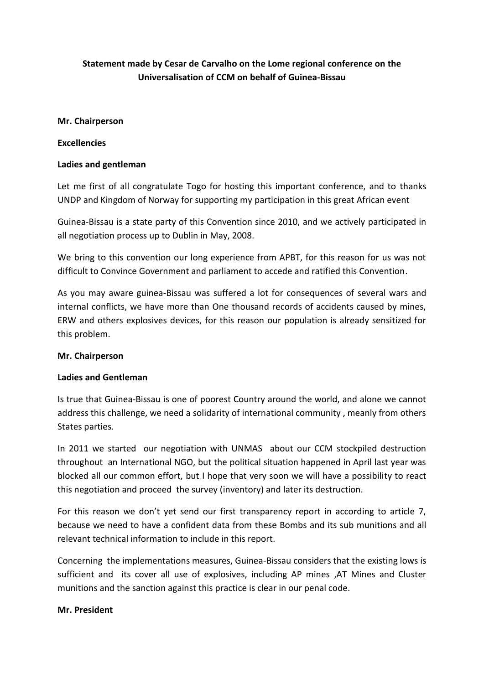# **Statement made by Cesar de Carvalho on the Lome regional conference on the Universalisation of CCM on behalf of Guinea-Bissau**

#### **Mr. Chairperson**

#### **Excellencies**

#### **Ladies and gentleman**

Let me first of all congratulate Togo for hosting this important conference, and to thanks UNDP and Kingdom of Norway for supporting my participation in this great African event

Guinea-Bissau is a state party of this Convention since 2010, and we actively participated in all negotiation process up to Dublin in May, 2008.

We bring to this convention our long experience from APBT, for this reason for us was not difficult to Convince Government and parliament to accede and ratified this Convention.

As you may aware guinea-Bissau was suffered a lot for consequences of several wars and internal conflicts, we have more than One thousand records of accidents caused by mines, ERW and others explosives devices, for this reason our population is already sensitized for this problem.

#### **Mr. Chairperson**

#### **Ladies and Gentleman**

Is true that Guinea-Bissau is one of poorest Country around the world, and alone we cannot address this challenge, we need a solidarity of international community , meanly from others States parties.

In 2011 we started our negotiation with UNMAS about our CCM stockpiled destruction throughout an International NGO, but the political situation happened in April last year was blocked all our common effort, but I hope that very soon we will have a possibility to react this negotiation and proceed the survey (inventory) and later its destruction.

For this reason we don't yet send our first transparency report in according to article 7, because we need to have a confident data from these Bombs and its sub munitions and all relevant technical information to include in this report.

Concerning the implementations measures, Guinea-Bissau considers that the existing lows is sufficient and its cover all use of explosives, including AP mines ,AT Mines and Cluster munitions and the sanction against this practice is clear in our penal code.

#### **Mr. President**